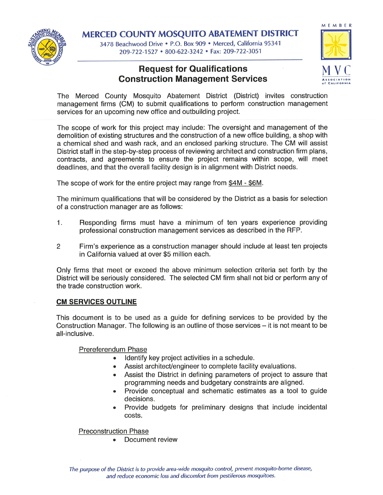

MERCED COUNTY MOSQUITO ABATEMENT DISTRICT

3478 Beachwood Drive . P.O. Box 909 . Merced, California 95341 209-722-1527 · 800-622-3242 · Fax: 209-722-3051

# **Request for Qualifications Construction Management Services**



The Merced County Mosquito Abatement District (District) invites construction management firms (CM) to submit qualifications to perform construction management services for an upcoming new office and outbuilding project.

The scope of work for this project may include: The oversight and management of the demolition of existing structures and the construction of a new office building, a shop with a chemical shed and wash rack, and an enclosed parking structure. The CM will assist District staff in the step-by-step process of reviewing architect and construction firm plans. contracts, and agreements to ensure the project remains within scope, will meet deadlines, and that the overall facility design is in alignment with District needs.

The scope of work for the entire project may range from \$4M - \$6M.

The minimum qualifications that will be considered by the District as a basis for selection of a construction manager are as follows:

- $1.$ Responding firms must have a minimum of ten years experience providing professional construction management services as described in the RFP.
- $\overline{2}$ Firm's experience as a construction manager should include at least ten projects in California valued at over \$5 million each.

Only firms that meet or exceed the above minimum selection criteria set forth by the District will be seriously considered. The selected CM firm shall not bid or perform any of the trade construction work.

## **CM SERVICES OUTLINE**

This document is to be used as a guide for defining services to be provided by the Construction Manager. The following is an outline of those services – it is not meant to be all-inclusive.

Prereferendum Phase

- · Identify key project activities in a schedule.
- Assist architect/engineer to complete facility evaluations.
- Assist the District in defining parameters of project to assure that programming needs and budgetary constraints are aligned.
- Provide conceptual and schematic estimates as a tool to guide decisions.
- Provide budgets for preliminary designs that include incidental costs.

**Preconstruction Phase** 

Document review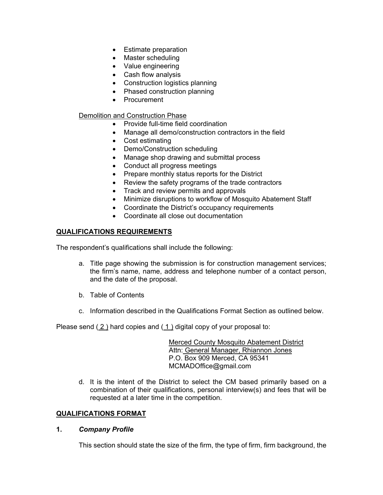- Estimate preparation
- Master scheduling
- Value engineering
- Cash flow analysis
- Construction logistics planning
- Phased construction planning
- Procurement

## Demolition and Construction Phase

- Provide full-time field coordination
- Manage all demo/construction contractors in the field
- Cost estimating
- Demo/Construction scheduling
- Manage shop drawing and submittal process
- Conduct all progress meetings
- Prepare monthly status reports for the District
- Review the safety programs of the trade contractors
- Track and review permits and approvals
- Minimize disruptions to workflow of Mosquito Abatement Staff
- Coordinate the District's occupancy requirements
- Coordinate all close out documentation

# **QUALIFICATIONS REQUIREMENTS**

The respondent's qualifications shall include the following:

- a. Title page showing the submission is for construction management services; the firm's name, name, address and telephone number of a contact person, and the date of the proposal.
- b. Table of Contents
- c. Information described in the Qualifications Format Section as outlined below.

Please send  $(2)$  hard copies and  $(1)$  digital copy of your proposal to:

 Merced County Mosquito Abatement District Attn: General Manager, Rhiannon Jones P.O. Box 909 Merced, CA 95341 MCMADOffice@gmail.com

d. It is the intent of the District to select the CM based primarily based on a combination of their qualifications, personal interview(s) and fees that will be requested at a later time in the competition.

## **QUALIFICATIONS FORMAT**

#### **1.** *Company Profile*

This section should state the size of the firm, the type of firm, firm background, the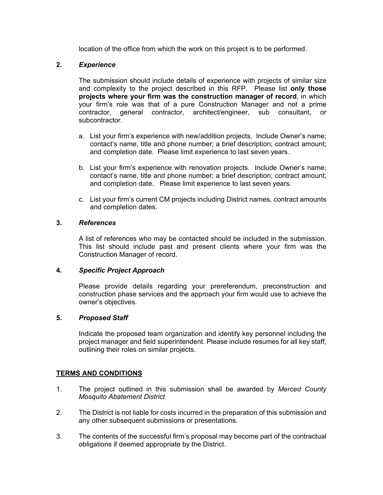location of the office from which the work on this project is to be performed.

## **2.** *Experience*

The submission should include details of experience with projects of similar size and complexity to the project described in this RFP. Please list **only those projects where your firm was the construction manager of record**, in which your firm's role was that of a pure Construction Manager and not a prime contractor, general contractor, architect/engineer, sub consultant, or subcontractor.

- a. List your firm's experience with new/addition projects. Include Owner's name; contact's name, title and phone number; a brief description; contract amount; and completion date. Please limit experience to last seven years.
- b. List your firm's experience with renovation projects. Include Owner's name; contact's name, title and phone number; a brief description; contract amount; and completion date. Please limit experience to last seven years.
- c. List your firm's current CM projects including District names, contract amounts and completion dates.

#### **3.** *References*

 A list of references who may be contacted should be included in the submission. This list should include past and present clients where your firm was the Construction Manager of record.

#### **4.** *Specific Project Approach*

Please provide details regarding your prereferendum, preconstruction and construction phase services and the approach your firm would use to achieve the owner's objectives.

#### **5.** *Proposed Staff*

Indicate the proposed team organization and identify key personnel including the project manager and field superintendent. Please include resumes for all key staff, outlining their roles on similar projects.

## **TERMS AND CONDITIONS**

- 1. The project outlined in this submission shall be awarded by *Merced County Mosquito Abatement District*
- 2. The District is not liable for costs incurred in the preparation of this submission and any other subsequent submissions or presentations.
- 3. The contents of the successful firm's proposal may become part of the contractual obligations if deemed appropriate by the District.